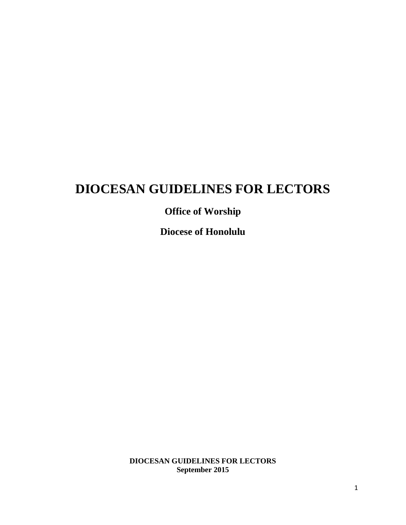# **DIOCESAN GUIDELINES FOR LECTORS**

# **Office of Worship**

**Diocese of Honolulu**

**DIOCESAN GUIDELINES FOR LECTORS September 2015**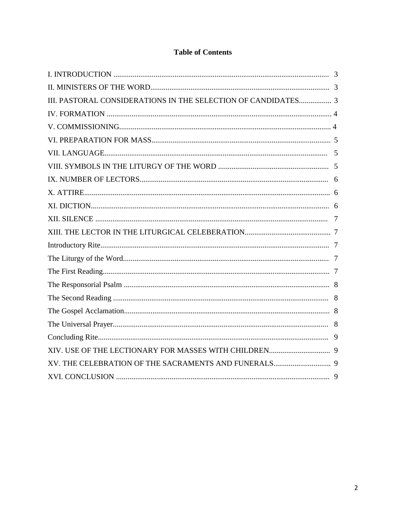# **Table of Contents**

| III. PASTORAL CONSIDERATIONS IN THE SELECTION OF CANDIDATES 3 |  |
|---------------------------------------------------------------|--|
|                                                               |  |
|                                                               |  |
|                                                               |  |
|                                                               |  |
|                                                               |  |
|                                                               |  |
|                                                               |  |
|                                                               |  |
|                                                               |  |
|                                                               |  |
|                                                               |  |
|                                                               |  |
|                                                               |  |
|                                                               |  |
|                                                               |  |
|                                                               |  |
|                                                               |  |
|                                                               |  |
|                                                               |  |
|                                                               |  |
|                                                               |  |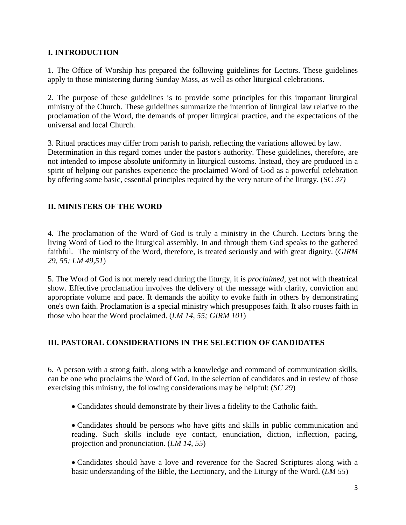# **I. INTRODUCTION**

1. The Office of Worship has prepared the following guidelines for Lectors. These guidelines apply to those ministering during Sunday Mass, as well as other liturgical celebrations.

2. The purpose of these guidelines is to provide some principles for this important liturgical ministry of the Church. These guidelines summarize the intention of liturgical law relative to the proclamation of the Word, the demands of proper liturgical practice, and the expectations of the universal and local Church.

3. Ritual practices may differ from parish to parish, reflecting the variations allowed by law. Determination in this regard comes under the pastor's authority. These guidelines, therefore, are not intended to impose absolute uniformity in liturgical customs. Instead, they are produced in a spirit of helping our parishes experience the proclaimed Word of God as a powerful celebration by offering some basic, essential principles required by the very nature of the liturgy. (SC *37)*

# **II. MINISTERS OF THE WORD**

4. The proclamation of the Word of God is truly a ministry in the Church. Lectors bring the living Word of God to the liturgical assembly. In and through them God speaks to the gathered faithful. The ministry of the Word, therefore, is treated seriously and with great dignity. (*GIRM 29, 55; LM 49,51*)

5. The Word of God is not merely read during the liturgy, it is *proclaimed,* yet not with theatrical show. Effective proclamation involves the delivery of the message with clarity, conviction and appropriate volume and pace. It demands the ability to evoke faith in others by demonstrating one's own faith. Proclamation is a special ministry which presupposes faith. It also rouses faith in those who hear the Word proclaimed. (*LM 14, 55; GIRM 101*)

## **III. PASTORAL CONSIDERATIONS IN THE SELECTION OF CANDIDATES**

6. A person with a strong faith, along with a knowledge and command of communication skills, can be one who proclaims the Word of God. In the selection of candidates and in review of those exercising this ministry, the following considerations may be helpful: (*SC 29*)

• Candidates should demonstrate by their lives a fidelity to the Catholic faith.

• Candidates should be persons who have gifts and skills in public communication and reading. Such skills include eye contact, enunciation, diction, inflection, pacing, projection and pronunciation. (*LM 14, 55*)

• Candidates should have a love and reverence for the Sacred Scriptures along with a basic understanding of the Bible, the Lectionary, and the Liturgy of the Word. (*LM 55*)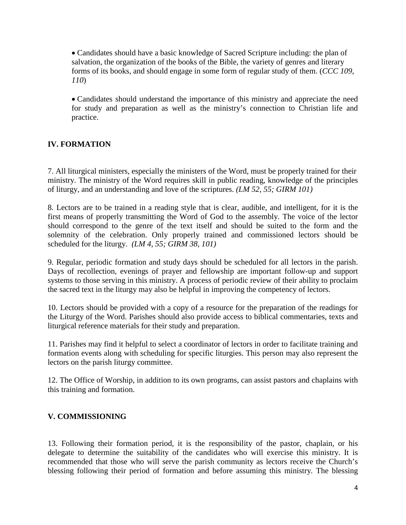• Candidates should have a basic knowledge of Sacred Scripture including: the plan of salvation, the organization of the books of the Bible, the variety of genres and literary forms of its books, and should engage in some form of regular study of them. (*CCC 109, 110*)

• Candidates should understand the importance of this ministry and appreciate the need for study and preparation as well as the ministry's connection to Christian life and practice.

# **IV. FORMATION**

7. All liturgical ministers, especially the ministers of the Word, must be properly trained for their ministry. The ministry of the Word requires skill in public reading, knowledge of the principles of liturgy, and an understanding and love of the scriptures. *(LM 52, 55; GIRM 101)*

8. Lectors are to be trained in a reading style that is clear, audible, and intelligent, for it is the first means of properly transmitting the Word of God to the assembly. The voice of the lector should correspond to the genre of the text itself and should be suited to the form and the solemnity of the celebration. Only properly trained and commissioned lectors should be scheduled for the liturgy. *(LM 4, 55; GIRM 38, 101)*

9. Regular, periodic formation and study days should be scheduled for all lectors in the parish. Days of recollection, evenings of prayer and fellowship are important follow-up and support systems to those serving in this ministry. A process of periodic review of their ability to proclaim the sacred text in the liturgy may also be helpful in improving the competency of lectors.

10. Lectors should be provided with a copy of a resource for the preparation of the readings for the Liturgy of the Word. Parishes should also provide access to biblical commentaries, texts and liturgical reference materials for their study and preparation.

11. Parishes may find it helpful to select a coordinator of lectors in order to facilitate training and formation events along with scheduling for specific liturgies. This person may also represent the lectors on the parish liturgy committee.

12. The Office of Worship, in addition to its own programs, can assist pastors and chaplains with this training and formation.

## **V. COMMISSIONING**

13. Following their formation period, it is the responsibility of the pastor, chaplain, or his delegate to determine the suitability of the candidates who will exercise this ministry. It is recommended that those who will serve the parish community as lectors receive the Church's blessing following their period of formation and before assuming this ministry. The blessing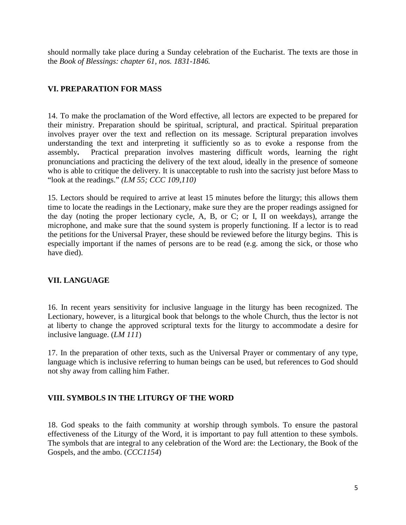should normally take place during a Sunday celebration of the Eucharist. The texts are those in the *Book of Blessings: chapter 61, nos. 1831-1846.*

# **VI. PREPARATION FOR MASS**

14. To make the proclamation of the Word effective, all lectors are expected to be prepared for their ministry. Preparation should be spiritual, scriptural, and practical. Spiritual preparation involves prayer over the text and reflection on its message. Scriptural preparation involves understanding the text and interpreting it sufficiently so as to evoke a response from the assembly**.** Practical preparation involves mastering difficult words, learning the right pronunciations and practicing the delivery of the text aloud, ideally in the presence of someone who is able to critique the delivery. It is unacceptable to rush into the sacristy just before Mass to "look at the readings." *(LM 55; CCC 109,110)*

15. Lectors should be required to arrive at least 15 minutes before the liturgy; this allows them time to locate the readings in the Lectionary, make sure they are the proper readings assigned for the day (noting the proper lectionary cycle, A, B, or C; or I, II on weekdays), arrange the microphone, and make sure that the sound system is properly functioning. If a lector is to read the petitions for the Universal Prayer, these should be reviewed before the liturgy begins. This is especially important if the names of persons are to be read (e.g. among the sick, or those who have died).

## **VII. LANGUAGE**

16. In recent years sensitivity for inclusive language in the liturgy has been recognized. The Lectionary, however, is a liturgical book that belongs to the whole Church, thus the lector is not at liberty to change the approved scriptural texts for the liturgy to accommodate a desire for inclusive language. (*LM 111*)

17. In the preparation of other texts, such as the Universal Prayer or commentary of any type, language which is inclusive referring to human beings can be used, but references to God should not shy away from calling him Father.

## **VIII. SYMBOLS IN THE LITURGY OF THE WORD**

18. God speaks to the faith community at worship through symbols. To ensure the pastoral effectiveness of the Liturgy of the Word, it is important to pay full attention to these symbols. The symbols that are integral to any celebration of the Word are: the Lectionary, the Book of the Gospels, and the ambo. (*CCC1154*)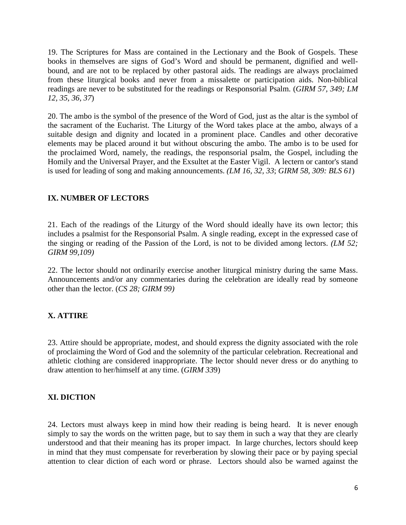19. The Scriptures for Mass are contained in the Lectionary and the Book of Gospels. These books in themselves are signs of God's Word and should be permanent, dignified and wellbound, and are not to be replaced by other pastoral aids. The readings are always proclaimed from these liturgical books and never from a missalette or participation aids. Non-biblical readings are never to be substituted for the readings or Responsorial Psalm. (*GIRM 57, 349; LM 12, 35, 36, 37*)

20. The ambo is the symbol of the presence of the Word of God, just as the altar is the symbol of the sacrament of the Eucharist. The Liturgy of the Word takes place at the ambo, always of a suitable design and dignity and located in a prominent place. Candles and other decorative elements may be placed around it but without obscuring the ambo. The ambo is to be used for the proclaimed Word, namely, the readings, the responsorial psalm, the Gospel, including the Homily and the Universal Prayer, and the Exsultet at the Easter Vigil. A lectern or cantor's stand is used for leading of song and making announcements. *(LM 16, 32, 33*; *GIRM 58, 309: BLS 61*)

# **IX. NUMBER OF LECTORS**

21. Each of the readings of the Liturgy of the Word should ideally have its own lector; this includes a psalmist for the Responsorial Psalm. A single reading, except in the expressed case of the singing or reading of the Passion of the Lord, is not to be divided among lectors. *(LM 52; GIRM 99,109)*

22. The lector should not ordinarily exercise another liturgical ministry during the same Mass. Announcements and/or any commentaries during the celebration are ideally read by someone other than the lector. (*CS 28; GIRM 99)*

# **X. ATTIRE**

23. Attire should be appropriate, modest, and should express the dignity associated with the role of proclaiming the Word of God and the solemnity of the particular celebration. Recreational and athletic clothing are considered inappropriate. The lector should never dress or do anything to draw attention to her/himself at any time. (*GIRM 33*9)

## **XI. DICTION**

24. Lectors must always keep in mind how their reading is being heard. It is never enough simply to say the words on the written page, but to say them in such a way that they are clearly understood and that their meaning has its proper impact. In large churches, lectors should keep in mind that they must compensate for reverberation by slowing their pace or by paying special attention to clear diction of each word or phrase. Lectors should also be warned against the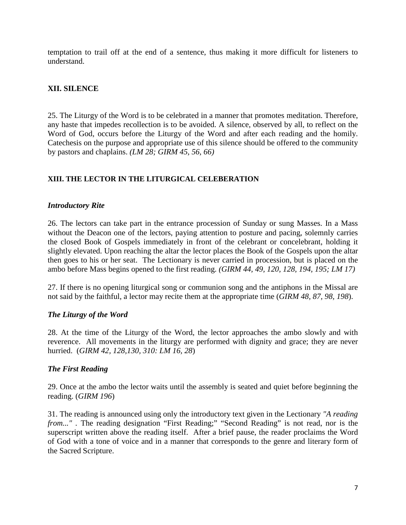temptation to trail off at the end of a sentence, thus making it more difficult for listeners to understand.

## **XII. SILENCE**

25. The Liturgy of the Word is to be celebrated in a manner that promotes meditation. Therefore, any haste that impedes recollection is to be avoided. A silence, observed by all, to reflect on the Word of God, occurs before the Liturgy of the Word and after each reading and the homily. Catechesis on the purpose and appropriate use of this silence should be offered to the community by pastors and chaplains. *(LM 28; GIRM 45, 56, 66)*

## **XIII. THE LECTOR IN THE LITURGICAL CELEBERATION**

#### *Introductory Rite*

26. The lectors can take part in the entrance procession of Sunday or sung Masses. In a Mass without the Deacon one of the lectors, paying attention to posture and pacing, solemnly carries the closed Book of Gospels immediately in front of the celebrant or concelebrant, holding it slightly elevated. Upon reaching the altar the lector places the Book of the Gospels upon the altar then goes to his or her seat. The Lectionary is never carried in procession, but is placed on the ambo before Mass begins opened to the first reading. *(GIRM 44, 49, 120, 128, 194, 195; LM 17)*

27. If there is no opening liturgical song or communion song and the antiphons in the Missal are not said by the faithful, a lector may recite them at the appropriate time (*GIRM 48, 87, 98, 198*).

## *The Liturgy of the Word*

28. At the time of the Liturgy of the Word, the lector approaches the ambo slowly and with reverence. All movements in the liturgy are performed with dignity and grace; they are never hurried. (*GIRM 42, 128,130, 310: LM 16, 28*)

## *The First Reading*

29. Once at the ambo the lector waits until the assembly is seated and quiet before beginning the reading. (*GIRM 196*)

31. The reading is announced using only the introductory text given in the Lectionary *"A reading from..."* . The reading designation "First Reading;" "Second Reading" is not read, nor is the superscript written above the reading itself. After a brief pause, the reader proclaims the Word of God with a tone of voice and in a manner that corresponds to the genre and literary form of the Sacred Scripture.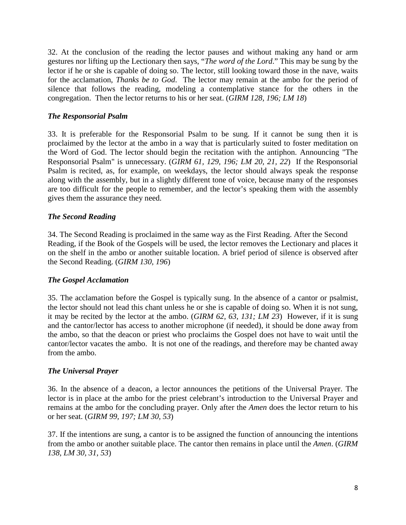32. At the conclusion of the reading the lector pauses and without making any hand or arm gestures nor lifting up the Lectionary then says, "*The word of the Lord*." This may be sung by the lector if he or she is capable of doing so. The lector, still looking toward those in the nave, waits for the acclamation, *Thanks be to God*. The lector may remain at the ambo for the period of silence that follows the reading, modeling a contemplative stance for the others in the congregation. Then the lector returns to his or her seat. (*GIRM 128, 196; LM 18*)

#### *The Responsorial Psalm*

33. It is preferable for the Responsorial Psalm to be sung. If it cannot be sung then it is proclaimed by the lector at the ambo in a way that is particularly suited to foster meditation on the Word of God. The lector should begin the recitation with the antiphon. Announcing "The Responsorial Psalm" is unnecessary. (*GIRM 61, 129, 196; LM 20, 21, 22*) If the Responsorial Psalm is recited, as, for example, on weekdays, the lector should always speak the response along with the assembly, but in a slightly different tone of voice, because many of the responses are too difficult for the people to remember, and the lector's speaking them with the assembly gives them the assurance they need.

#### *The Second Reading*

34. The Second Reading is proclaimed in the same way as the First Reading. After the Second Reading, if the Book of the Gospels will be used, the lector removes the Lectionary and places it on the shelf in the ambo or another suitable location. A brief period of silence is observed after the Second Reading. (*GIRM 130, 196*)

#### *The Gospel Acclamation*

35. The acclamation before the Gospel is typically sung. In the absence of a cantor or psalmist, the lector should not lead this chant unless he or she is capable of doing so. When it is not sung, it may be recited by the lector at the ambo. (*GIRM 62, 63, 131; LM 23*) However, if it is sung and the cantor/lector has access to another microphone (if needed), it should be done away from the ambo, so that the deacon or priest who proclaims the Gospel does not have to wait until the cantor/lector vacates the ambo. It is not one of the readings, and therefore may be chanted away from the ambo.

#### *The Universal Prayer*

36. In the absence of a deacon, a lector announces the petitions of the Universal Prayer. The lector is in place at the ambo for the priest celebrant's introduction to the Universal Prayer and remains at the ambo for the concluding prayer. Only after the *Amen* does the lector return to his or her seat. (*GIRM 99, 197; LM 30, 53*)

37. If the intentions are sung, a cantor is to be assigned the function of announcing the intentions from the ambo or another suitable place. The cantor then remains in place until the *Amen*. (*GIRM 138, LM 30, 31, 53*)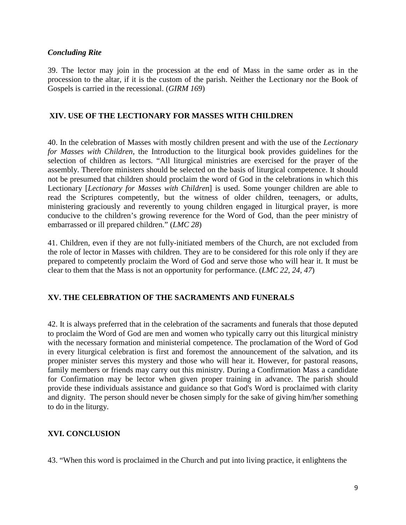#### *Concluding Rite*

39. The lector may join in the procession at the end of Mass in the same order as in the procession to the altar, if it is the custom of the parish. Neither the Lectionary nor the Book of Gospels is carried in the recessional. (*GIRM 169*)

#### **XIV. USE OF THE LECTIONARY FOR MASSES WITH CHILDREN**

40. In the celebration of Masses with mostly children present and with the use of the *Lectionary for Masses with Children*, the Introduction to the liturgical book provides guidelines for the selection of children as lectors. "All liturgical ministries are exercised for the prayer of the assembly. Therefore ministers should be selected on the basis of liturgical competence. It should not be presumed that children should proclaim the word of God in the celebrations in which this Lectionary [*Lectionary for Masses with Children*] is used. Some younger children are able to read the Scriptures competently, but the witness of older children, teenagers, or adults, ministering graciously and reverently to young children engaged in liturgical prayer, is more conducive to the children's growing reverence for the Word of God, than the peer ministry of embarrassed or ill prepared children." (*LMC 28*)

41. Children, even if they are not fully-initiated members of the Church, are not excluded from the role of lector in Masses with children. They are to be considered for this role only if they are prepared to competently proclaim the Word of God and serve those who will hear it. It must be clear to them that the Mass is not an opportunity for performance. (*LMC 22, 24, 47*)

## **XV. THE CELEBRATION OF THE SACRAMENTS AND FUNERALS**

42. It is always preferred that in the celebration of the sacraments and funerals that those deputed to proclaim the Word of God are men and women who typically carry out this liturgical ministry with the necessary formation and ministerial competence. The proclamation of the Word of God in every liturgical celebration is first and foremost the announcement of the salvation, and its proper minister serves this mystery and those who will hear it. However, for pastoral reasons, family members or friends may carry out this ministry. During a Confirmation Mass a candidate for Confirmation may be lector when given proper training in advance. The parish should provide these individuals assistance and guidance so that God's Word is proclaimed with clarity and dignity. The person should never be chosen simply for the sake of giving him/her something to do in the liturgy.

#### **XVI. CONCLUSION**

43. "When this word is proclaimed in the Church and put into living practice, it enlightens the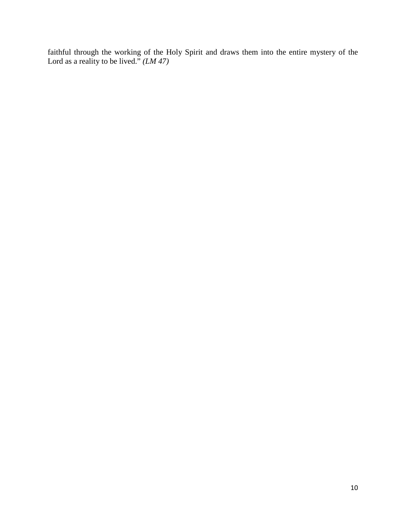faithful through the working of the Holy Spirit and draws them into the entire mystery of the Lord as a reality to be lived." *(LM 47)*